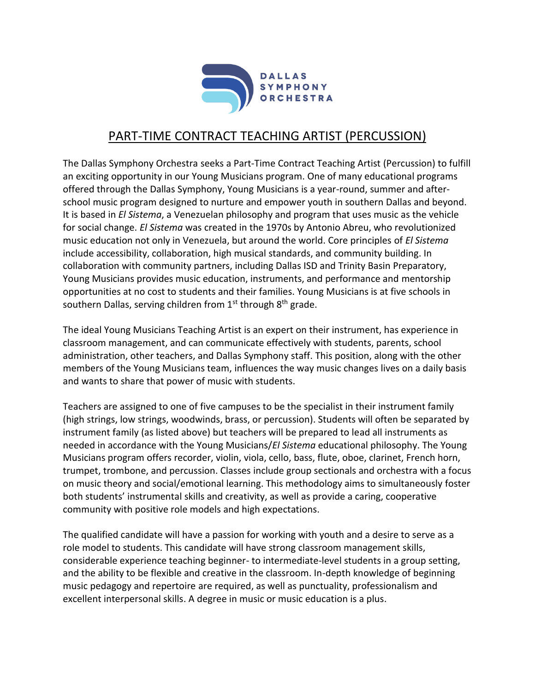

## PART-TIME CONTRACT TEACHING ARTIST (PERCUSSION)

The Dallas Symphony Orchestra seeks a Part-Time Contract Teaching Artist (Percussion) to fulfill an exciting opportunity in our Young Musicians program. One of many educational programs offered through the Dallas Symphony, Young Musicians is a year-round, summer and afterschool music program designed to nurture and empower youth in southern Dallas and beyond. It is based in *El Sistema*, a Venezuelan philosophy and program that uses music as the vehicle for social change. *El Sistema* was created in the 1970s by Antonio Abreu, who revolutionized music education not only in Venezuela, but around the world. Core principles of *El Sistema* include accessibility, collaboration, high musical standards, and community building. In collaboration with community partners, including Dallas ISD and Trinity Basin Preparatory, Young Musicians provides music education, instruments, and performance and mentorship opportunities at no cost to students and their families. Young Musicians is at five schools in southern Dallas, serving children from  $1<sup>st</sup>$  through  $8<sup>th</sup>$  grade.

The ideal Young Musicians Teaching Artist is an expert on their instrument, has experience in classroom management, and can communicate effectively with students, parents, school administration, other teachers, and Dallas Symphony staff. This position, along with the other members of the Young Musicians team, influences the way music changes lives on a daily basis and wants to share that power of music with students.

Teachers are assigned to one of five campuses to be the specialist in their instrument family (high strings, low strings, woodwinds, brass, or percussion). Students will often be separated by instrument family (as listed above) but teachers will be prepared to lead all instruments as needed in accordance with the Young Musicians/*El Sistema* educational philosophy. The Young Musicians program offers recorder, violin, viola, cello, bass, flute, oboe, clarinet, French horn, trumpet, trombone, and percussion. Classes include group sectionals and orchestra with a focus on music theory and social/emotional learning. This methodology aims to simultaneously foster both students' instrumental skills and creativity, as well as provide a caring, cooperative community with positive role models and high expectations.

The qualified candidate will have a passion for working with youth and a desire to serve as a role model to students. This candidate will have strong classroom management skills, considerable experience teaching beginner- to intermediate-level students in a group setting, and the ability to be flexible and creative in the classroom. In-depth knowledge of beginning music pedagogy and repertoire are required, as well as punctuality, professionalism and excellent interpersonal skills. A degree in music or music education is a plus.